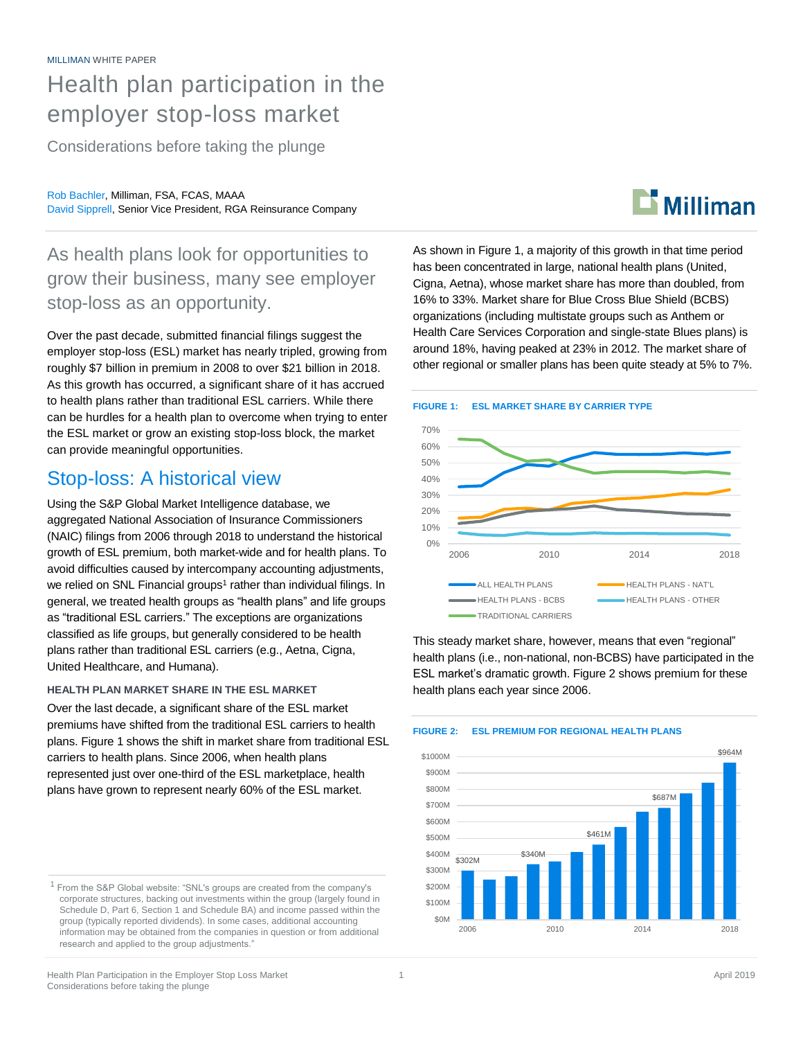# Health plan participation in the employer stop-loss market

Considerations before taking the plunge

Rob Bachler, Milliman, FSA, FCAS, MAAA David Sipprell, Senior Vice President, RGA Reinsurance Company

# $\mathbf{D}$  Milliman

As health plans look for opportunities to grow their business, many see employer stop-loss as an opportunity.

Over the past decade, submitted financial filings suggest the employer stop-loss (ESL) market has nearly tripled, growing from roughly \$7 billion in premium in 2008 to over \$21 billion in 2018. As this growth has occurred, a significant share of it has accrued to health plans rather than traditional ESL carriers. While there can be hurdles for a health plan to overcome when trying to enter the ESL market or grow an existing stop-loss block, the market can provide meaningful opportunities.

# Stop-loss: A historical view

Using the S&P Global Market Intelligence database, we aggregated National Association of Insurance Commissioners (NAIC) filings from 2006 through 2018 to understand the historical growth of ESL premium, both market-wide and for health plans. To avoid difficulties caused by intercompany accounting adjustments, we relied on SNL Financial groups<sup>1</sup> rather than individual filings. In general, we treated health groups as "health plans" and life groups as "traditional ESL carriers." The exceptions are organizations classified as life groups, but generally considered to be health plans rather than traditional ESL carriers (e.g., Aetna, Cigna, United Healthcare, and Humana).

### **HEALTH PLAN MARKET SHARE IN THE ESL MARKET**

Over the last decade, a significant share of the ESL market premiums have shifted from the traditional ESL carriers to health plans. Figure 1 shows the shift in market share from traditional ESL carriers to health plans. Since 2006, when health plans represented just over one-third of the ESL marketplace, health plans have grown to represent nearly 60% of the ESL market.

<sup>1</sup> From the S&P Global website: "SNL's groups are created from the company's corporate structures, backing out investments within the group (largely found in Schedule D, Part 6, Section 1 and Schedule BA) and income passed within the group (typically reported dividends). In some cases, additional accounting information may be obtained from the companies in question or from additional research and applied to the group adjustments."

As shown in Figure 1, a majority of this growth in that time period has been concentrated in large, national health plans (United, Cigna, Aetna), whose market share has more than doubled, from 16% to 33%. Market share for Blue Cross Blue Shield (BCBS) organizations (including multistate groups such as Anthem or Health Care Services Corporation and single-state Blues plans) is around 18%, having peaked at 23% in 2012. The market share of other regional or smaller plans has been quite steady at 5% to 7%.





This steady market share, however, means that even "regional" health plans (i.e., non-national, non-BCBS) have participated in the ESL market's dramatic growth. Figure 2 shows premium for these health plans each year since 2006.



### **FIGURE 2: ESL PREMIUM FOR REGIONAL HEALTH PLANS**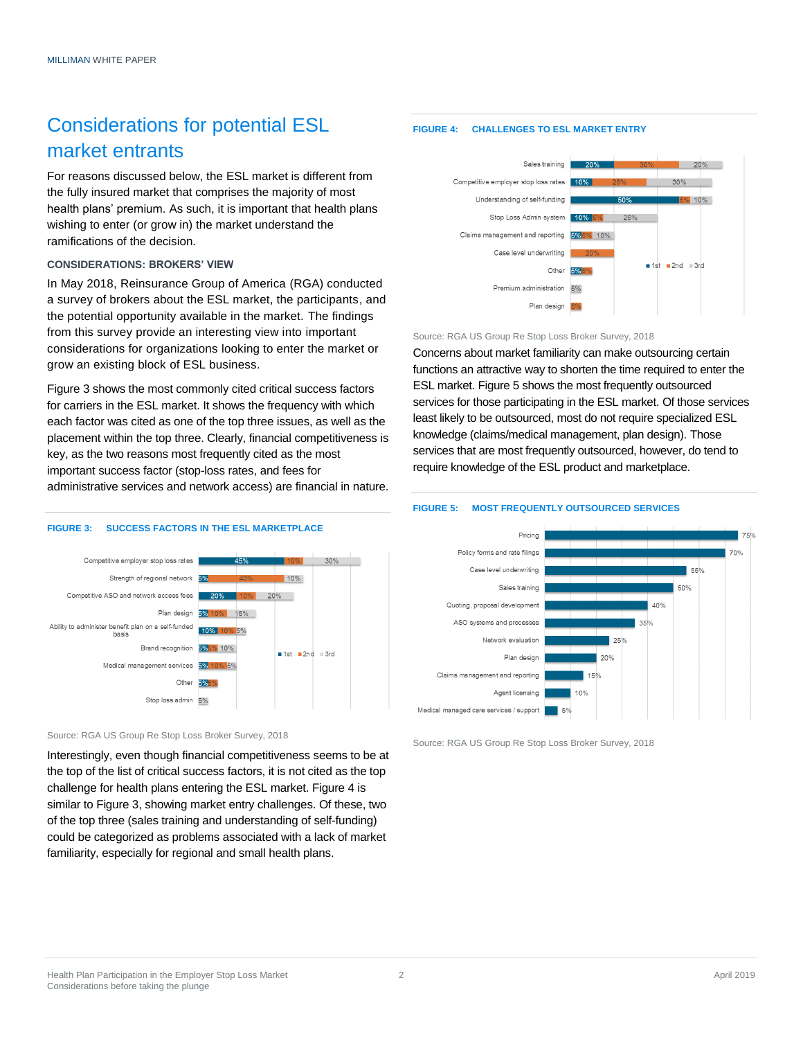# Considerations for potential ESL market entrants

For reasons discussed below, the ESL market is different from the fully insured market that comprises the majority of most health plans' premium. As such, it is important that health plans wishing to enter (or grow in) the market understand the ramifications of the decision.

#### **CONSIDERATIONS: BROKERS' VIEW**

In May 2018, Reinsurance Group of America (RGA) conducted a survey of brokers about the ESL market, the participants, and the potential opportunity available in the market. The findings from this survey provide an interesting view into important considerations for organizations looking to enter the market or grow an existing block of ESL business.

Figure 3 shows the most commonly cited critical success factors for carriers in the ESL market. It shows the frequency with which each factor was cited as one of the top three issues, as well as the placement within the top three. Clearly, financial competitiveness is key, as the two reasons most frequently cited as the most important success factor (stop-loss rates, and fees for administrative services and network access) are financial in nature.

#### **FIGURE 3: SUCCESS FACTORS IN THE ESL MARKETPLACE**



Source: RGA US Group Re Stop Loss Broker Survey, 2018

Interestingly, even though financial competitiveness seems to be at the top of the list of critical success factors, it is not cited as the top challenge for health plans entering the ESL market. Figure 4 is similar to Figure 3, showing market entry challenges. Of these, two of the top three (sales training and understanding of self-funding) could be categorized as problems associated with a lack of market familiarity, especially for regional and small health plans.

### **FIGURE 4: CHALLENGES TO ESL MARKET ENTRY**



Source: RGA US Group Re Stop Loss Broker Survey, 2018

Concerns about market familiarity can make outsourcing certain functions an attractive way to shorten the time required to enter the ESL market. Figure 5 shows the most frequently outsourced services for those participating in the ESL market. Of those services least likely to be outsourced, most do not require specialized ESL knowledge (claims/medical management, plan design). Those services that are most frequently outsourced, however, do tend to require knowledge of the ESL product and marketplace.

## **FIGURE 5: MOST FREQUENTLY OUTSOURCED SERVICES**



Source: RGA US Group Re Stop Loss Broker Survey, 2018